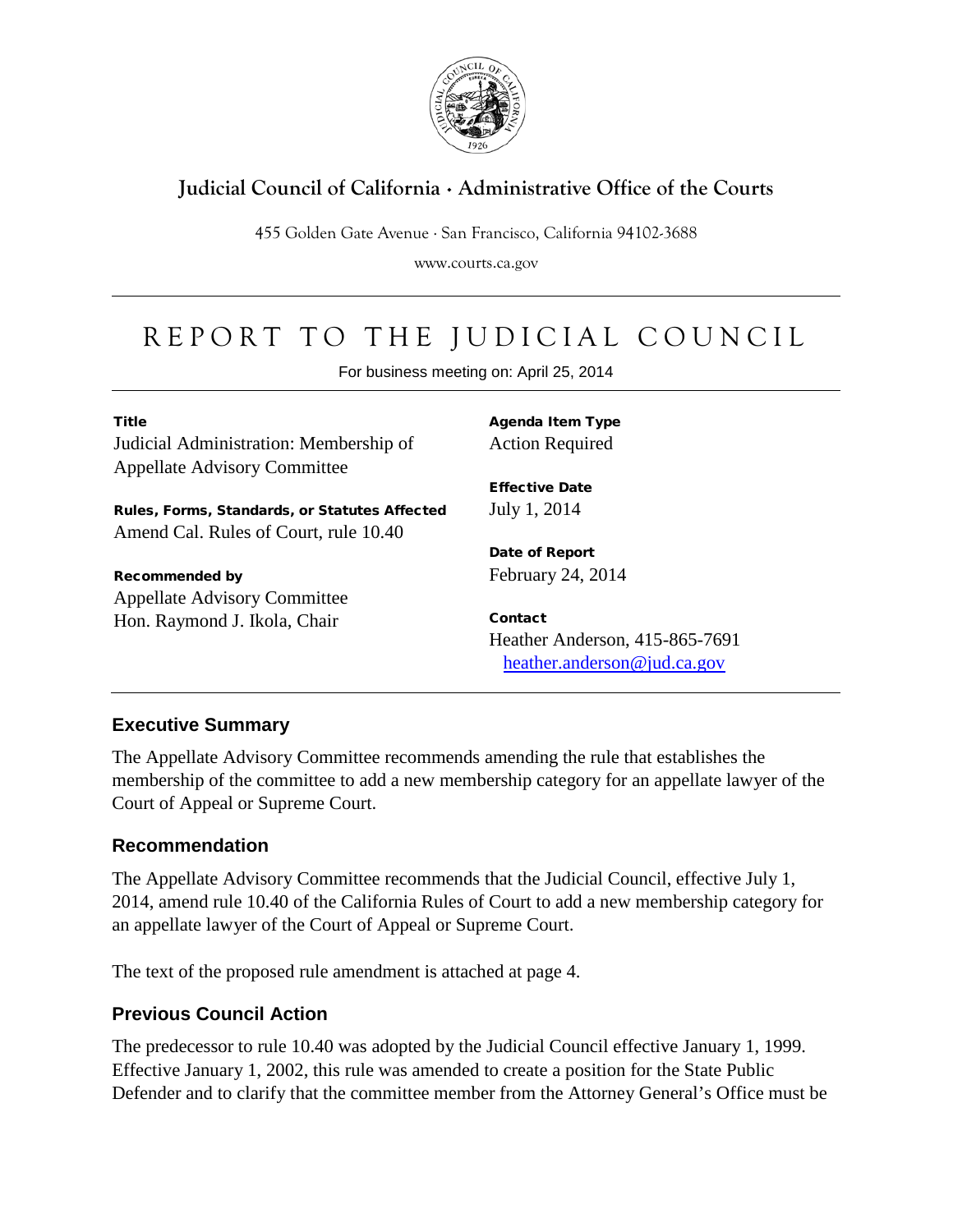

## **Judicial Council of California** . **Administrative Office of the Courts**

455 Golden Gate Avenue . San Francisco, California 94102-3688

www.courts.ca.gov

# REPORT TO THE JUDICIAL COUNCIL

For business meeting on: April 25, 2014

**Title** Judicial Administration: Membership of Appellate Advisory Committee

Rules, Forms, Standards, or Statutes Affected Amend Cal. Rules of Court, rule 10.40

#### Recommended by

Appellate Advisory Committee Hon. Raymond J. Ikola, Chair

Agenda Item Type Action Required

Effective Date July 1, 2014

Date of Report February 24, 2014

**Contact** Heather Anderson, 415-865-7691 [heather.anderson@jud.ca.gov](mailto:heather.anderson@jud.ca.gov)

#### **Executive Summary**

The Appellate Advisory Committee recommends amending the rule that establishes the membership of the committee to add a new membership category for an appellate lawyer of the Court of Appeal or Supreme Court.

#### **Recommendation**

The Appellate Advisory Committee recommends that the Judicial Council, effective July 1, 2014, amend rule 10.40 of the California Rules of Court to add a new membership category for an appellate lawyer of the Court of Appeal or Supreme Court.

The text of the proposed rule amendment is attached at page 4.

## **Previous Council Action**

The predecessor to rule 10.40 was adopted by the Judicial Council effective January 1, 1999. Effective January 1, 2002, this rule was amended to create a position for the State Public Defender and to clarify that the committee member from the Attorney General's Office must be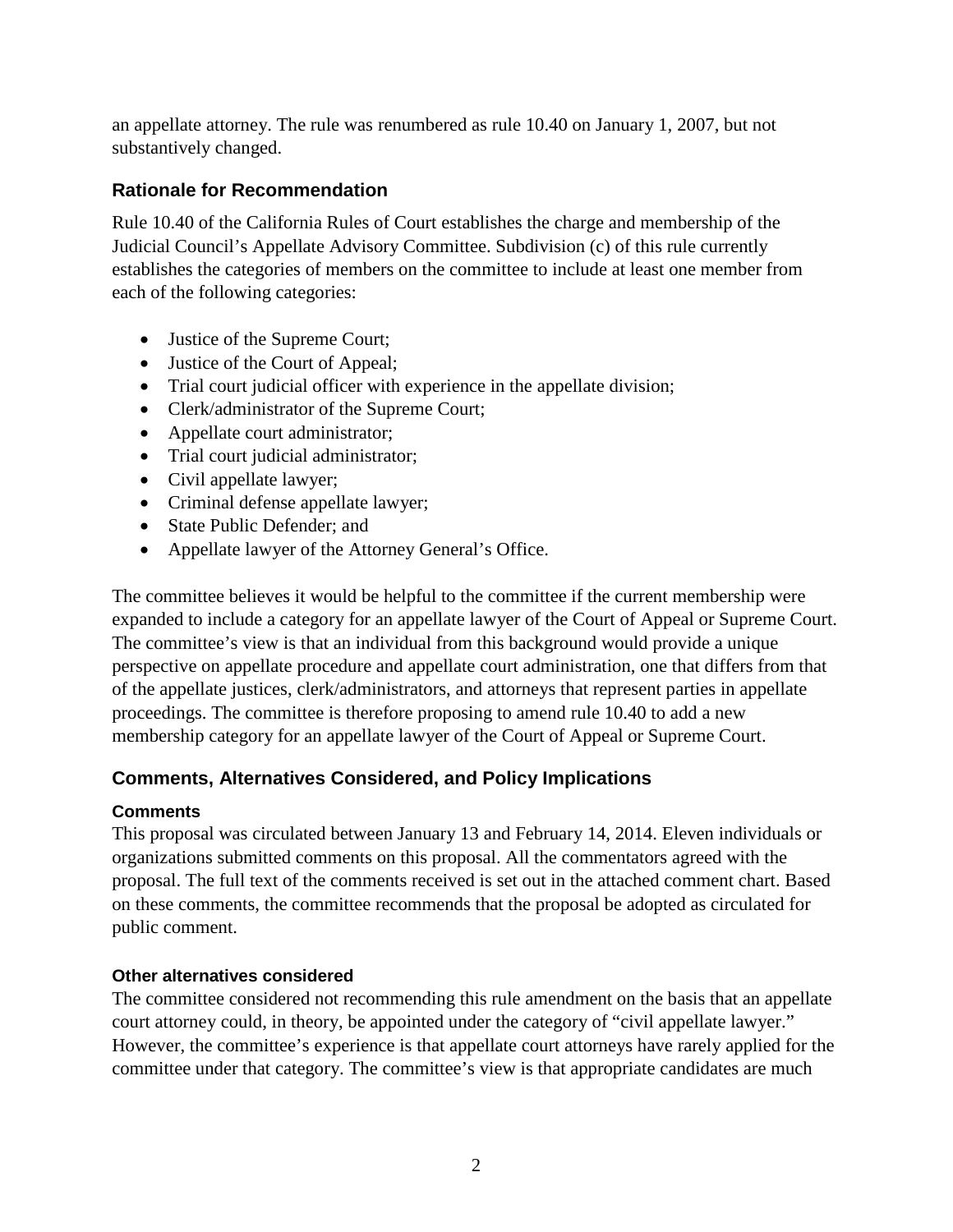an appellate attorney. The rule was renumbered as rule 10.40 on January 1, 2007, but not substantively changed.

#### **Rationale for Recommendation**

Rule 10.40 of the California Rules of Court establishes the charge and membership of the Judicial Council's Appellate Advisory Committee. Subdivision (c) of this rule currently establishes the categories of members on the committee to include at least one member from each of the following categories:

- Justice of the Supreme Court;
- Justice of the Court of Appeal;
- Trial court judicial officer with experience in the appellate division;
- Clerk/administrator of the Supreme Court;
- Appellate court administrator;
- Trial court judicial administrator;
- Civil appellate lawyer;
- Criminal defense appellate lawyer;
- State Public Defender; and
- Appellate lawyer of the Attorney General's Office.

The committee believes it would be helpful to the committee if the current membership were expanded to include a category for an appellate lawyer of the Court of Appeal or Supreme Court. The committee's view is that an individual from this background would provide a unique perspective on appellate procedure and appellate court administration, one that differs from that of the appellate justices, clerk/administrators, and attorneys that represent parties in appellate proceedings. The committee is therefore proposing to amend rule 10.40 to add a new membership category for an appellate lawyer of the Court of Appeal or Supreme Court.

## **Comments, Alternatives Considered, and Policy Implications**

#### **Comments**

This proposal was circulated between January 13 and February 14, 2014. Eleven individuals or organizations submitted comments on this proposal. All the commentators agreed with the proposal. The full text of the comments received is set out in the attached comment chart. Based on these comments, the committee recommends that the proposal be adopted as circulated for public comment.

#### **Other alternatives considered**

The committee considered not recommending this rule amendment on the basis that an appellate court attorney could, in theory, be appointed under the category of "civil appellate lawyer." However, the committee's experience is that appellate court attorneys have rarely applied for the committee under that category. The committee's view is that appropriate candidates are much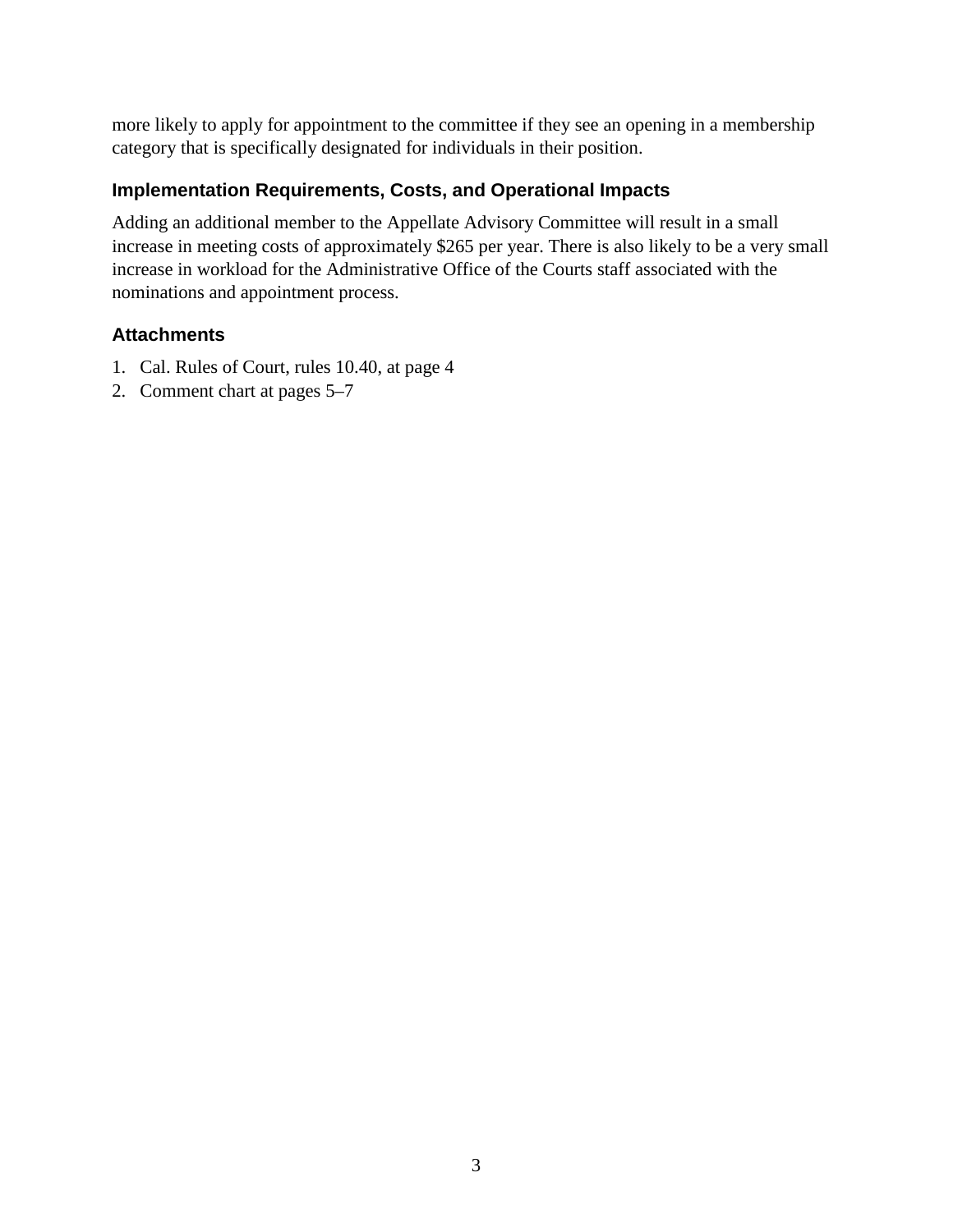more likely to apply for appointment to the committee if they see an opening in a membership category that is specifically designated for individuals in their position.

#### **Implementation Requirements, Costs, and Operational Impacts**

Adding an additional member to the Appellate Advisory Committee will result in a small increase in meeting costs of approximately \$265 per year. There is also likely to be a very small increase in workload for the Administrative Office of the Courts staff associated with the nominations and appointment process.

#### **Attachments**

- 1. Cal. Rules of Court, rules 10.40, at page 4
- 2. Comment chart at pages 5–7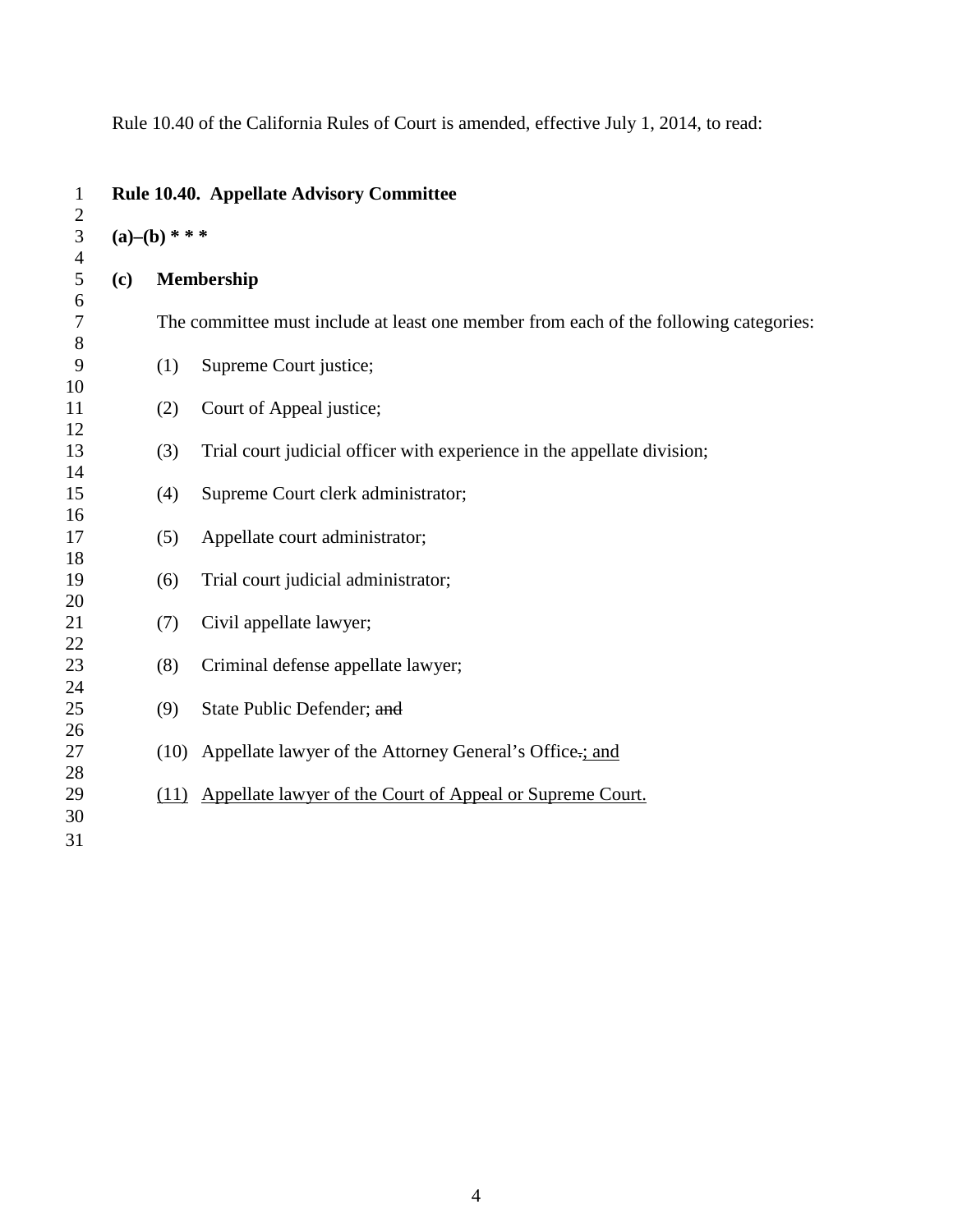Rule 10.40 of the California Rules of Court is amended, effective July 1, 2014, to read:

| $\mathbf{1}$<br>$\overline{c}$   |     | Rule 10.40. Appellate Advisory Committee |                                                                                       |  |  |  |  |
|----------------------------------|-----|------------------------------------------|---------------------------------------------------------------------------------------|--|--|--|--|
| $\mathfrak{Z}$<br>$\overline{4}$ |     | $(a)$ – $(b)$ * * *                      |                                                                                       |  |  |  |  |
| 5                                | (c) | Membership                               |                                                                                       |  |  |  |  |
| 6                                |     |                                          |                                                                                       |  |  |  |  |
| $\overline{7}$<br>$8\,$          |     |                                          | The committee must include at least one member from each of the following categories: |  |  |  |  |
| 9                                |     | (1)                                      | Supreme Court justice;                                                                |  |  |  |  |
| 10                               |     |                                          |                                                                                       |  |  |  |  |
| 11                               |     | (2)                                      | Court of Appeal justice;                                                              |  |  |  |  |
| 12                               |     |                                          |                                                                                       |  |  |  |  |
| 13                               |     | (3)                                      | Trial court judicial officer with experience in the appellate division;               |  |  |  |  |
| 14                               |     |                                          |                                                                                       |  |  |  |  |
| 15<br>16                         |     | (4)                                      | Supreme Court clerk administrator;                                                    |  |  |  |  |
| 17                               |     | (5)                                      | Appellate court administrator;                                                        |  |  |  |  |
| 18                               |     |                                          |                                                                                       |  |  |  |  |
| 19                               |     | (6)                                      | Trial court judicial administrator;                                                   |  |  |  |  |
| 20                               |     |                                          |                                                                                       |  |  |  |  |
| 21                               |     | (7)                                      | Civil appellate lawyer;                                                               |  |  |  |  |
| 22                               |     |                                          |                                                                                       |  |  |  |  |
| 23                               |     | (8)                                      | Criminal defense appellate lawyer;                                                    |  |  |  |  |
| 24                               |     |                                          |                                                                                       |  |  |  |  |
| 25                               |     | (9)                                      | State Public Defender; and                                                            |  |  |  |  |
| 26                               |     |                                          |                                                                                       |  |  |  |  |
| 27<br>28                         |     | (10)                                     | Appellate lawyer of the Attorney General's Office.; and                               |  |  |  |  |
| 29                               |     | (11)                                     | Appellate lawyer of the Court of Appeal or Supreme Court.                             |  |  |  |  |
| 30                               |     |                                          |                                                                                       |  |  |  |  |
| 31                               |     |                                          |                                                                                       |  |  |  |  |
|                                  |     |                                          |                                                                                       |  |  |  |  |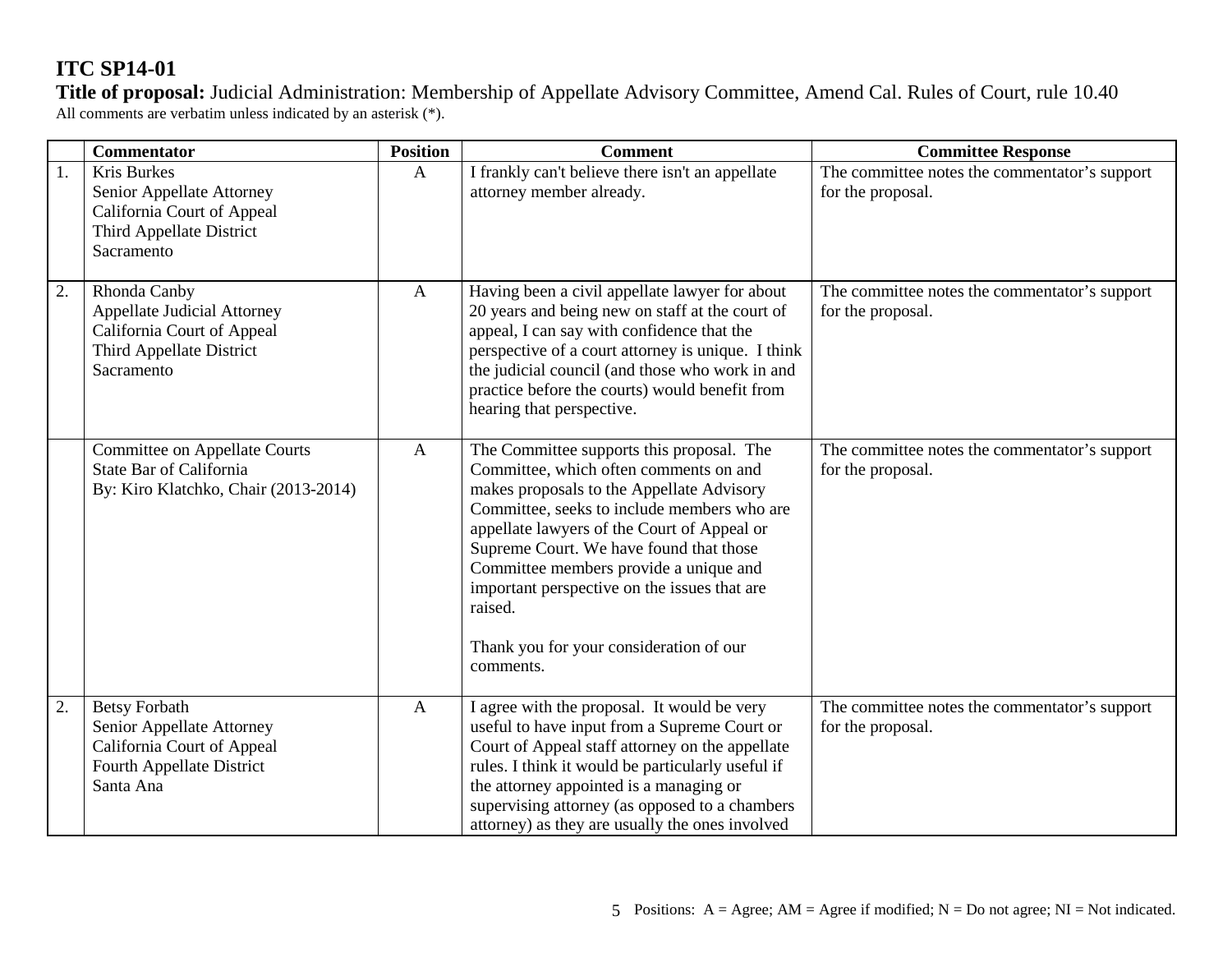# **ITC SP14-01**

**Title of proposal:** Judicial Administration: Membership of Appellate Advisory Committee, Amend Cal. Rules of Court, rule 10.40 All comments are verbatim unless indicated by an asterisk (\*).

|                  | <b>Commentator</b>                                                                                                         | <b>Position</b> | <b>Comment</b>                                                                                                                                                                                                                                                                                                                                                                                                                         | <b>Committee Response</b>                                          |
|------------------|----------------------------------------------------------------------------------------------------------------------------|-----------------|----------------------------------------------------------------------------------------------------------------------------------------------------------------------------------------------------------------------------------------------------------------------------------------------------------------------------------------------------------------------------------------------------------------------------------------|--------------------------------------------------------------------|
| 1.               | <b>Kris Burkes</b><br>Senior Appellate Attorney<br>California Court of Appeal<br>Third Appellate District<br>Sacramento    | $\mathbf{A}$    | I frankly can't believe there isn't an appellate<br>attorney member already.                                                                                                                                                                                                                                                                                                                                                           | The committee notes the commentator's support<br>for the proposal. |
| $\overline{2}$ . | Rhonda Canby<br><b>Appellate Judicial Attorney</b><br>California Court of Appeal<br>Third Appellate District<br>Sacramento | $\mathbf{A}$    | Having been a civil appellate lawyer for about<br>20 years and being new on staff at the court of<br>appeal, I can say with confidence that the<br>perspective of a court attorney is unique. I think<br>the judicial council (and those who work in and<br>practice before the courts) would benefit from<br>hearing that perspective.                                                                                                | The committee notes the commentator's support<br>for the proposal. |
|                  | <b>Committee on Appellate Courts</b><br>State Bar of California<br>By: Kiro Klatchko, Chair (2013-2014)                    | $\mathbf{A}$    | The Committee supports this proposal. The<br>Committee, which often comments on and<br>makes proposals to the Appellate Advisory<br>Committee, seeks to include members who are<br>appellate lawyers of the Court of Appeal or<br>Supreme Court. We have found that those<br>Committee members provide a unique and<br>important perspective on the issues that are<br>raised.<br>Thank you for your consideration of our<br>comments. | The committee notes the commentator's support<br>for the proposal. |
| $\overline{2}$ . | <b>Betsy Forbath</b><br>Senior Appellate Attorney<br>California Court of Appeal<br>Fourth Appellate District<br>Santa Ana  | $\mathbf{A}$    | I agree with the proposal. It would be very<br>useful to have input from a Supreme Court or<br>Court of Appeal staff attorney on the appellate<br>rules. I think it would be particularly useful if<br>the attorney appointed is a managing or<br>supervising attorney (as opposed to a chambers<br>attorney) as they are usually the ones involved                                                                                    | The committee notes the commentator's support<br>for the proposal. |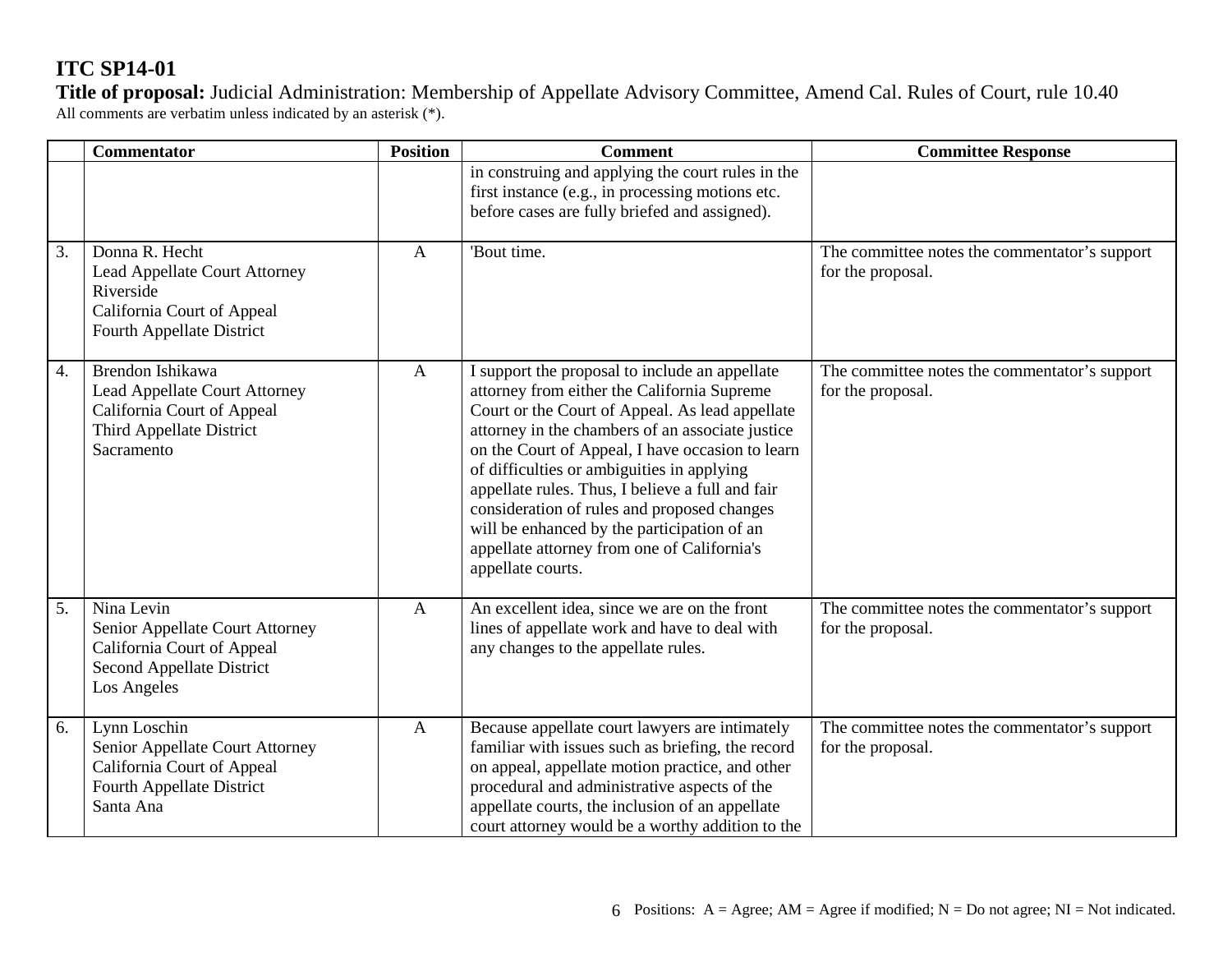# **ITC SP14-01**

**Title of proposal:** Judicial Administration: Membership of Appellate Advisory Committee, Amend Cal. Rules of Court, rule 10.40 All comments are verbatim unless indicated by an asterisk (\*).

|                  | <b>Commentator</b>                                                                                                        | <b>Position</b> | <b>Comment</b>                                                                                                                                                                                                                                                                                                                                                                                                                                                                                                               | <b>Committee Response</b>                                          |
|------------------|---------------------------------------------------------------------------------------------------------------------------|-----------------|------------------------------------------------------------------------------------------------------------------------------------------------------------------------------------------------------------------------------------------------------------------------------------------------------------------------------------------------------------------------------------------------------------------------------------------------------------------------------------------------------------------------------|--------------------------------------------------------------------|
|                  |                                                                                                                           |                 | in construing and applying the court rules in the<br>first instance (e.g., in processing motions etc.<br>before cases are fully briefed and assigned).                                                                                                                                                                                                                                                                                                                                                                       |                                                                    |
| $\overline{3}$ . | Donna R. Hecht<br>Lead Appellate Court Attorney<br>Riverside<br>California Court of Appeal<br>Fourth Appellate District   | $\mathbf{A}$    | 'Bout time.                                                                                                                                                                                                                                                                                                                                                                                                                                                                                                                  | The committee notes the commentator's support<br>for the proposal. |
| 4.               | Brendon Ishikawa<br>Lead Appellate Court Attorney<br>California Court of Appeal<br>Third Appellate District<br>Sacramento | $\mathbf{A}$    | I support the proposal to include an appellate<br>attorney from either the California Supreme<br>Court or the Court of Appeal. As lead appellate<br>attorney in the chambers of an associate justice<br>on the Court of Appeal, I have occasion to learn<br>of difficulties or ambiguities in applying<br>appellate rules. Thus, I believe a full and fair<br>consideration of rules and proposed changes<br>will be enhanced by the participation of an<br>appellate attorney from one of California's<br>appellate courts. | The committee notes the commentator's support<br>for the proposal. |
| $\overline{5}$ . | Nina Levin<br>Senior Appellate Court Attorney<br>California Court of Appeal<br>Second Appellate District<br>Los Angeles   | $\mathbf{A}$    | An excellent idea, since we are on the front<br>lines of appellate work and have to deal with<br>any changes to the appellate rules.                                                                                                                                                                                                                                                                                                                                                                                         | The committee notes the commentator's support<br>for the proposal. |
| $\overline{6}$ . | Lynn Loschin<br>Senior Appellate Court Attorney<br>California Court of Appeal<br>Fourth Appellate District<br>Santa Ana   | $\mathbf{A}$    | Because appellate court lawyers are intimately<br>familiar with issues such as briefing, the record<br>on appeal, appellate motion practice, and other<br>procedural and administrative aspects of the<br>appellate courts, the inclusion of an appellate<br>court attorney would be a worthy addition to the                                                                                                                                                                                                                | The committee notes the commentator's support<br>for the proposal. |